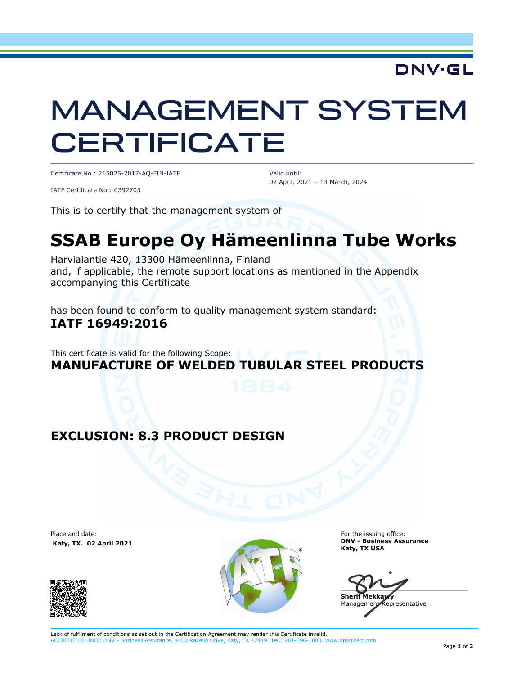## **DNV·GL**

# MANAGEMENT SYSTEM **CERTIFICATE**

Certificate No.: 215025-2017-AQ-FIN-IATF

IATF Certificate No.: 0392703

 Valid until: 02 April, 2021 – 13 March, 2024

This is to certify that the management system of

## **SSAB Europe Oy Hämeenlinna Tube Works**

Harvialantie 420, 13300 Hämeenlinna, Finland and, if applicable, the remote support locations as mentioned in the Appendix accompanying this Certificate

has been found to conform to quality management system standard: **IATF 16949:2016** 

This certificate is valid for the following Scope: **MANUFACTURE OF WELDED TUBULAR STEEL PRODUCTS**

#### **EXCLUSION: 8.3 PRODUCT DESIGN**

Place and date:  **Katy, TX. 02 April 2021**





For the issuing office: **DNV - Business Assurance Katy, TX USA** 

 $\blacksquare$ **Sherif Mekkaw** 

Management Representative